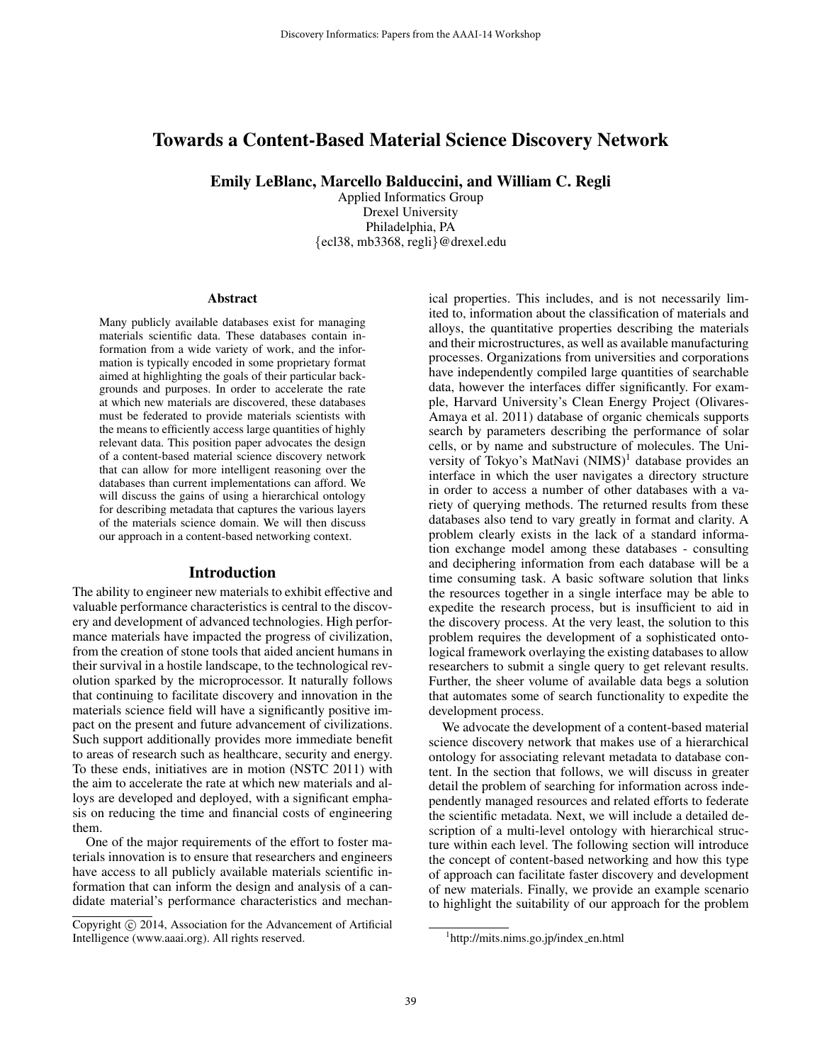# Towards a Content-Based Material Science Discovery Network

Emily LeBlanc, Marcello Balduccini, and William C. Regli

Applied Informatics Group Drexel University Philadelphia, PA {ecl38, mb3368, regli}@drexel.edu

#### Abstract

Many publicly available databases exist for managing materials scientific data. These databases contain information from a wide variety of work, and the information is typically encoded in some proprietary format aimed at highlighting the goals of their particular backgrounds and purposes. In order to accelerate the rate at which new materials are discovered, these databases must be federated to provide materials scientists with the means to efficiently access large quantities of highly relevant data. This position paper advocates the design of a content-based material science discovery network that can allow for more intelligent reasoning over the databases than current implementations can afford. We will discuss the gains of using a hierarchical ontology for describing metadata that captures the various layers of the materials science domain. We will then discuss our approach in a content-based networking context.

#### Introduction

The ability to engineer new materials to exhibit effective and valuable performance characteristics is central to the discovery and development of advanced technologies. High performance materials have impacted the progress of civilization, from the creation of stone tools that aided ancient humans in their survival in a hostile landscape, to the technological revolution sparked by the microprocessor. It naturally follows that continuing to facilitate discovery and innovation in the materials science field will have a significantly positive impact on the present and future advancement of civilizations. Such support additionally provides more immediate benefit to areas of research such as healthcare, security and energy. To these ends, initiatives are in motion (NSTC 2011) with the aim to accelerate the rate at which new materials and alloys are developed and deployed, with a significant emphasis on reducing the time and financial costs of engineering them.

One of the major requirements of the effort to foster materials innovation is to ensure that researchers and engineers have access to all publicly available materials scientific information that can inform the design and analysis of a candidate material's performance characteristics and mechanical properties. This includes, and is not necessarily limited to, information about the classification of materials and alloys, the quantitative properties describing the materials and their microstructures, as well as available manufacturing processes. Organizations from universities and corporations have independently compiled large quantities of searchable data, however the interfaces differ significantly. For example, Harvard University's Clean Energy Project (Olivares-Amaya et al. 2011) database of organic chemicals supports search by parameters describing the performance of solar cells, or by name and substructure of molecules. The University of Tokyo's MatNavi  $(NIMS)^1$  database provides an interface in which the user navigates a directory structure in order to access a number of other databases with a variety of querying methods. The returned results from these databases also tend to vary greatly in format and clarity. A problem clearly exists in the lack of a standard information exchange model among these databases - consulting and deciphering information from each database will be a time consuming task. A basic software solution that links the resources together in a single interface may be able to expedite the research process, but is insufficient to aid in the discovery process. At the very least, the solution to this problem requires the development of a sophisticated ontological framework overlaying the existing databases to allow researchers to submit a single query to get relevant results. Further, the sheer volume of available data begs a solution that automates some of search functionality to expedite the development process.

We advocate the development of a content-based material science discovery network that makes use of a hierarchical ontology for associating relevant metadata to database content. In the section that follows, we will discuss in greater detail the problem of searching for information across independently managed resources and related efforts to federate the scientific metadata. Next, we will include a detailed description of a multi-level ontology with hierarchical structure within each level. The following section will introduce the concept of content-based networking and how this type of approach can facilitate faster discovery and development of new materials. Finally, we provide an example scenario to highlight the suitability of our approach for the problem

Copyright (c) 2014, Association for the Advancement of Artificial Intelligence (www.aaai.org). All rights reserved.

<sup>&</sup>lt;sup>1</sup>http://mits.nims.go.jp/index\_en.html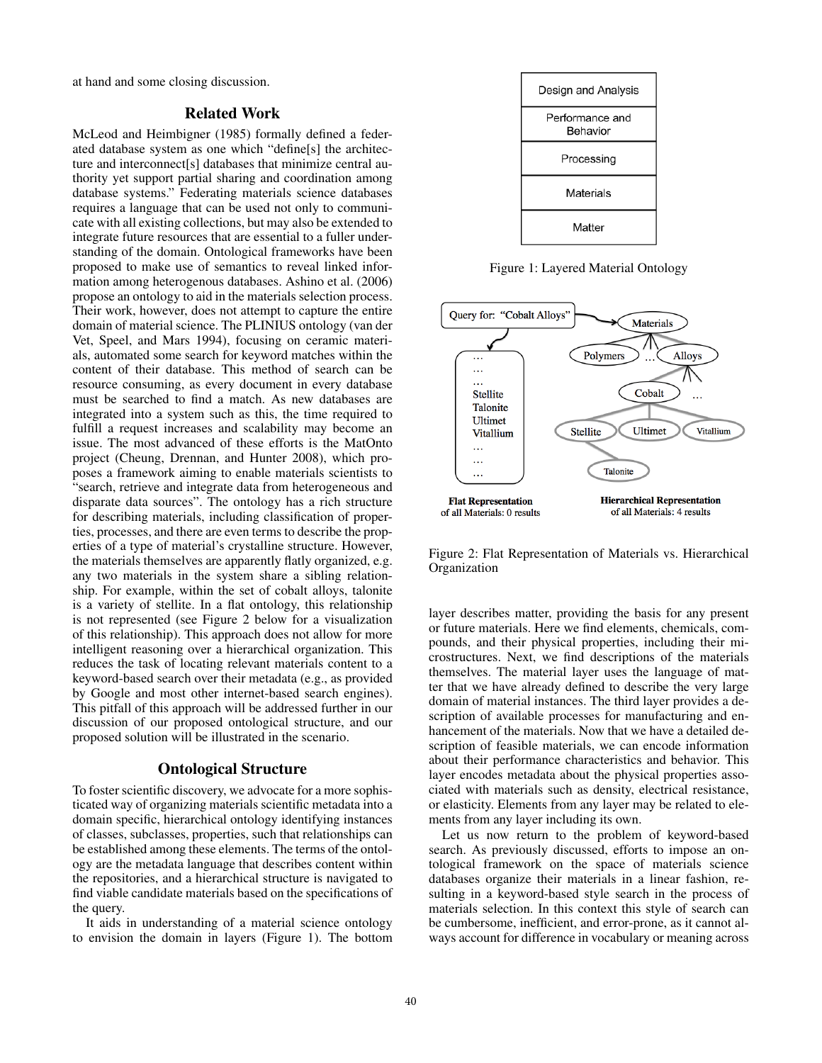at hand and some closing discussion.

#### Related Work

McLeod and Heimbigner (1985) formally defined a federated database system as one which "define[s] the architecture and interconnect[s] databases that minimize central authority yet support partial sharing and coordination among database systems." Federating materials science databases requires a language that can be used not only to communicate with all existing collections, but may also be extended to integrate future resources that are essential to a fuller understanding of the domain. Ontological frameworks have been proposed to make use of semantics to reveal linked information among heterogenous databases. Ashino et al. (2006) propose an ontology to aid in the materials selection process. Their work, however, does not attempt to capture the entire domain of material science. The PLINIUS ontology (van der Vet, Speel, and Mars 1994), focusing on ceramic materials, automated some search for keyword matches within the content of their database. This method of search can be resource consuming, as every document in every database must be searched to find a match. As new databases are integrated into a system such as this, the time required to fulfill a request increases and scalability may become an issue. The most advanced of these efforts is the MatOnto project (Cheung, Drennan, and Hunter 2008), which proposes a framework aiming to enable materials scientists to "search, retrieve and integrate data from heterogeneous and disparate data sources". The ontology has a rich structure for describing materials, including classification of properties, processes, and there are even terms to describe the properties of a type of material's crystalline structure. However, the materials themselves are apparently flatly organized, e.g. any two materials in the system share a sibling relationship. For example, within the set of cobalt alloys, talonite is a variety of stellite. In a flat ontology, this relationship is not represented (see Figure 2 below for a visualization of this relationship). This approach does not allow for more intelligent reasoning over a hierarchical organization. This reduces the task of locating relevant materials content to a keyword-based search over their metadata (e.g., as provided by Google and most other internet-based search engines). This pitfall of this approach will be addressed further in our discussion of our proposed ontological structure, and our proposed solution will be illustrated in the scenario.

### Ontological Structure

To foster scientific discovery, we advocate for a more sophisticated way of organizing materials scientific metadata into a domain specific, hierarchical ontology identifying instances of classes, subclasses, properties, such that relationships can be established among these elements. The terms of the ontology are the metadata language that describes content within the repositories, and a hierarchical structure is navigated to find viable candidate materials based on the specifications of the query.

It aids in understanding of a material science ontology to envision the domain in layers (Figure 1). The bottom



Figure 1: Layered Material Ontology



Figure 2: Flat Representation of Materials vs. Hierarchical Organization

layer describes matter, providing the basis for any present or future materials. Here we find elements, chemicals, compounds, and their physical properties, including their microstructures. Next, we find descriptions of the materials themselves. The material layer uses the language of matter that we have already defined to describe the very large domain of material instances. The third layer provides a description of available processes for manufacturing and enhancement of the materials. Now that we have a detailed description of feasible materials, we can encode information about their performance characteristics and behavior. This layer encodes metadata about the physical properties associated with materials such as density, electrical resistance, or elasticity. Elements from any layer may be related to elements from any layer including its own.

Let us now return to the problem of keyword-based search. As previously discussed, efforts to impose an ontological framework on the space of materials science databases organize their materials in a linear fashion, resulting in a keyword-based style search in the process of materials selection. In this context this style of search can be cumbersome, inefficient, and error-prone, as it cannot always account for difference in vocabulary or meaning across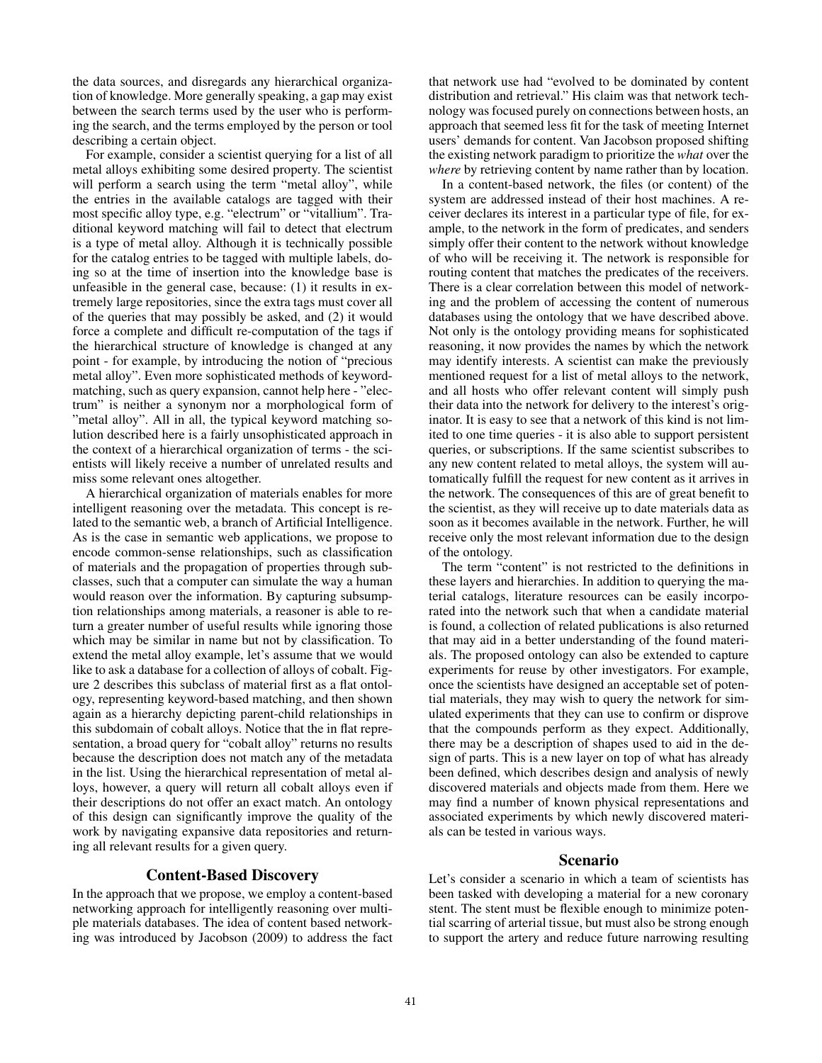the data sources, and disregards any hierarchical organization of knowledge. More generally speaking, a gap may exist between the search terms used by the user who is performing the search, and the terms employed by the person or tool describing a certain object.

For example, consider a scientist querying for a list of all metal alloys exhibiting some desired property. The scientist will perform a search using the term "metal alloy", while the entries in the available catalogs are tagged with their most specific alloy type, e.g. "electrum" or "vitallium". Traditional keyword matching will fail to detect that electrum is a type of metal alloy. Although it is technically possible for the catalog entries to be tagged with multiple labels, doing so at the time of insertion into the knowledge base is unfeasible in the general case, because: (1) it results in extremely large repositories, since the extra tags must cover all of the queries that may possibly be asked, and (2) it would force a complete and difficult re-computation of the tags if the hierarchical structure of knowledge is changed at any point - for example, by introducing the notion of "precious metal alloy". Even more sophisticated methods of keywordmatching, such as query expansion, cannot help here - "electrum" is neither a synonym nor a morphological form of "metal alloy". All in all, the typical keyword matching solution described here is a fairly unsophisticated approach in the context of a hierarchical organization of terms - the scientists will likely receive a number of unrelated results and miss some relevant ones altogether.

A hierarchical organization of materials enables for more intelligent reasoning over the metadata. This concept is related to the semantic web, a branch of Artificial Intelligence. As is the case in semantic web applications, we propose to encode common-sense relationships, such as classification of materials and the propagation of properties through subclasses, such that a computer can simulate the way a human would reason over the information. By capturing subsumption relationships among materials, a reasoner is able to return a greater number of useful results while ignoring those which may be similar in name but not by classification. To extend the metal alloy example, let's assume that we would like to ask a database for a collection of alloys of cobalt. Figure 2 describes this subclass of material first as a flat ontology, representing keyword-based matching, and then shown again as a hierarchy depicting parent-child relationships in this subdomain of cobalt alloys. Notice that the in flat representation, a broad query for "cobalt alloy" returns no results because the description does not match any of the metadata in the list. Using the hierarchical representation of metal alloys, however, a query will return all cobalt alloys even if their descriptions do not offer an exact match. An ontology of this design can significantly improve the quality of the work by navigating expansive data repositories and returning all relevant results for a given query.

### Content-Based Discovery

In the approach that we propose, we employ a content-based networking approach for intelligently reasoning over multiple materials databases. The idea of content based networking was introduced by Jacobson (2009) to address the fact

that network use had "evolved to be dominated by content distribution and retrieval." His claim was that network technology was focused purely on connections between hosts, an approach that seemed less fit for the task of meeting Internet users' demands for content. Van Jacobson proposed shifting the existing network paradigm to prioritize the *what* over the *where* by retrieving content by name rather than by location.

In a content-based network, the files (or content) of the system are addressed instead of their host machines. A receiver declares its interest in a particular type of file, for example, to the network in the form of predicates, and senders simply offer their content to the network without knowledge of who will be receiving it. The network is responsible for routing content that matches the predicates of the receivers. There is a clear correlation between this model of networking and the problem of accessing the content of numerous databases using the ontology that we have described above. Not only is the ontology providing means for sophisticated reasoning, it now provides the names by which the network may identify interests. A scientist can make the previously mentioned request for a list of metal alloys to the network, and all hosts who offer relevant content will simply push their data into the network for delivery to the interest's originator. It is easy to see that a network of this kind is not limited to one time queries - it is also able to support persistent queries, or subscriptions. If the same scientist subscribes to any new content related to metal alloys, the system will automatically fulfill the request for new content as it arrives in the network. The consequences of this are of great benefit to the scientist, as they will receive up to date materials data as soon as it becomes available in the network. Further, he will receive only the most relevant information due to the design of the ontology.

The term "content" is not restricted to the definitions in these layers and hierarchies. In addition to querying the material catalogs, literature resources can be easily incorporated into the network such that when a candidate material is found, a collection of related publications is also returned that may aid in a better understanding of the found materials. The proposed ontology can also be extended to capture experiments for reuse by other investigators. For example, once the scientists have designed an acceptable set of potential materials, they may wish to query the network for simulated experiments that they can use to confirm or disprove that the compounds perform as they expect. Additionally, there may be a description of shapes used to aid in the design of parts. This is a new layer on top of what has already been defined, which describes design and analysis of newly discovered materials and objects made from them. Here we may find a number of known physical representations and associated experiments by which newly discovered materials can be tested in various ways.

# Scenario

Let's consider a scenario in which a team of scientists has been tasked with developing a material for a new coronary stent. The stent must be flexible enough to minimize potential scarring of arterial tissue, but must also be strong enough to support the artery and reduce future narrowing resulting